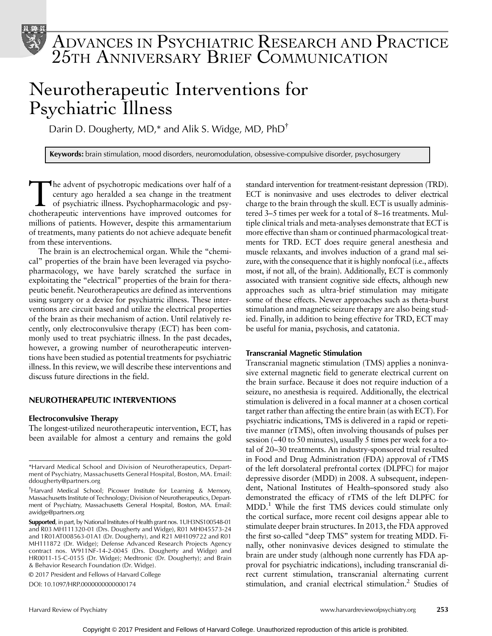

# ADVANCES IN PSYCHIATRIC RESEARCH AND PRACTICE 25TH ANNIVERSARY BRIEF COMMUNICATION

# Neurotherapeutic Interventions for Psychiatric Illness

Darin D. Dougherty, MD,\* and Alik S. Widge, MD, PhD<sup>†</sup>

Keywords: brain stimulation, mood disorders, neuromodulation, obsessive-compulsive disorder, psychosurgery

The advent of psychotropic medications over half of a<br>century ago heralded a sea change in the treatment<br>of psychiatric illness. Psychopharmacologic and psy-<br>chotheraneutic interventions have improved outcomes for century ago heralded a sea change in the treatment of psychiatric illness. Psychopharmacologic and psychotherapeutic interventions have improved outcomes for millions of patients. However, despite this armamentarium of treatments, many patients do not achieve adequate benefit from these interventions.

The brain is an electrochemical organ. While the "chemical" properties of the brain have been leveraged via psychopharmacology, we have barely scratched the surface in exploitating the "electrical" properties of the brain for therapeutic benefit. Neurotherapeutics are defined as interventions using surgery or a device for psychiatric illness. These interventions are circuit based and utilize the electrical properties of the brain as their mechanism of action. Until relatively recently, only electroconvulsive therapy (ECT) has been commonly used to treat psychiatric illness. In the past decades, however, a growing number of neurotherapeutic interventions have been studied as potential treatments for psychiatric illness. In this review, we will describe these interventions and discuss future directions in the field.

# NEUROTHERAPEUTIC INTERVENTIONS

### Electroconvulsive Therapy

The longest-utilized neurotherapeutic intervention, ECT, has been available for almost a century and remains the gold

© 2017 President and Fellows of Harvard College

DOI: 10.1097/HRP.0000000000000174

standard intervention for treatment-resistant depression (TRD). ECT is noninvasive and uses electrodes to deliver electrical charge to the brain through the skull. ECT is usually administered 3–5 times per week for a total of 8–16 treatments. Multiple clinical trials and meta-analyses demonstrate that ECT is more effective than sham or continued pharmacological treatments for TRD. ECT does require general anesthesia and muscle relaxants, and involves induction of a grand mal seizure, with the consequence that it is highly nonfocal (i.e., affects most, if not all, of the brain). Additionally, ECT is commonly associated with transient cognitive side effects, although new approaches such as ultra-brief stimulation may mitigate some of these effects. Newer approaches such as theta-burst stimulation and magnetic seizure therapy are also being studied. Finally, in addition to being effective for TRD, ECT may be useful for mania, psychosis, and catatonia.

#### Transcranial Magnetic Stimulation

Transcranial magnetic stimulation (TMS) applies a noninvasive external magnetic field to generate electrical current on the brain surface. Because it does not require induction of a seizure, no anesthesia is required. Additionally, the electrical stimulation is delivered in a focal manner at a chosen cortical target rather than affecting the entire brain (as with ECT). For psychiatric indications, TMS is delivered in a rapid or repetitive manner (rTMS), often involving thousands of pulses per session (~40 to 50 minutes), usually 5 times per week for a total of 20–30 treatments. An industry-sponsored trial resulted in Food and Drug Administration (FDA) approval of rTMS of the left dorsolateral prefrontal cortex (DLPFC) for major depressive disorder (MDD) in 2008. A subsequent, independent, National Institutes of Health–sponsored study also demonstrated the efficacy of rTMS of the left DLPFC for MDD.1 While the first TMS devices could stimulate only the cortical surface, more recent coil designs appear able to stimulate deeper brain structures. In 2013, the FDA approved the first so-called "deep TMS" system for treating MDD. Finally, other noninvasive devices designed to stimulate the brain are under study (although none currently has FDA approval for psychiatric indications), including transcranial direct current stimulation, transcranial alternating current stimulation, and cranial electrical stimulation.<sup>2</sup> Studies of

<sup>\*</sup>Harvard Medical School and Division of Neurotherapeutics, Department of Psychiatry, Massachusetts General Hospital, Boston, MA. Email: [ddougherty@partners.org](mailto:ddougherty@partners.org)

<sup>†</sup> Harvard Medical School; Picower Institute for Learning & Memory, Massachusetts Institute of Technology; Division of Neurotherapeutics, Department of Psychiatry, Massachusetts General Hospital, Boston, MA. Email: [awidge@partners.org](mailto:awidge@partners.org)

Supported, in part, by National Institutes of Health grant nos. 1UH3NS100548-01 and R03 MH111320-01 (Drs. Dougherty and Widge), R01 MH045573-24 and 1R01AT008563-01A1 (Dr. Dougherty), and R21 MH109722 and R01 MH111872 (Dr. Widge); Defense Advanced Research Projects Agency contract nos. W911NF-14-2-0045 (Drs. Dougherty and Widge) and HR0011-15-C-0155 (Dr. Widge); Medtronic (Dr. Dougherty); and Brain & Behavior Research Foundation (Dr. Widge).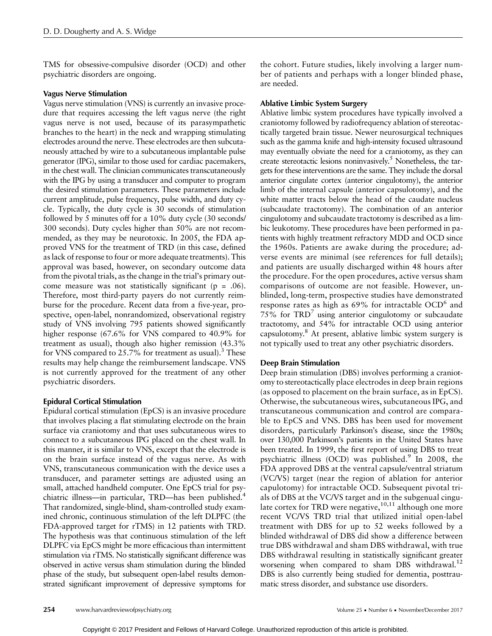TMS for obsessive-compulsive disorder (OCD) and other psychiatric disorders are ongoing.

#### Vagus Nerve Stimulation

Vagus nerve stimulation (VNS) is currently an invasive procedure that requires accessing the left vagus nerve (the right vagus nerve is not used, because of its parasympathetic branches to the heart) in the neck and wrapping stimulating electrodes around the nerve. These electrodes are then subcutaneously attached by wire to a subcutaneous implantable pulse generator (IPG), similar to those used for cardiac pacemakers, in the chest wall. The clinician communicates transcutaneously with the IPG by using a transducer and computer to program the desired stimulation parameters. These parameters include current amplitude, pulse frequency, pulse width, and duty cycle. Typically, the duty cycle is 30 seconds of stimulation followed by 5 minutes off for a 10% duty cycle (30 seconds/ 300 seconds). Duty cycles higher than 50% are not recommended, as they may be neurotoxic. In 2005, the FDA approved VNS for the treatment of TRD (in this case, defined as lack of response to four or more adequate treatments). This approval was based, however, on secondary outcome data from the pivotal trials, as the change in the trial's primary outcome measure was not statistically significant ( $p = .06$ ). Therefore, most third-party payers do not currently reimburse for the procedure. Recent data from a five-year, prospective, open-label, nonrandomized, observational registry study of VNS involving 795 patients showed significantly higher response (67.6% for VNS compared to 40.9% for treatment as usual), though also higher remission (43.3% for VNS compared to  $25.7\%$  for treatment as usual).<sup>3</sup> These results may help change the reimbursement landscape. VNS is not currently approved for the treatment of any other psychiatric disorders.

### Epidural Cortical Stimulation

Epidural cortical stimulation (EpCS) is an invasive procedure that involves placing a flat stimulating electrode on the brain surface via craniotomy and that uses subcutaneous wires to connect to a subcutaneous IPG placed on the chest wall. In this manner, it is similar to VNS, except that the electrode is on the brain surface instead of the vagus nerve. As with VNS, transcutaneous communication with the device uses a transducer, and parameter settings are adjusted using an small, attached handheld computer. One EpCS trial for psychiatric illness—in particular, TRD—has been published.<sup>4</sup> That randomized, single-blind, sham-controlled study examined chronic, continuous stimulation of the left DLPFC (the FDA-approved target for rTMS) in 12 patients with TRD. The hypothesis was that continuous stimulation of the left DLPFC via EpCS might be more efficacious than intermittent stimulation via rTMS. No statistically significant difference was observed in active versus sham stimulation during the blinded phase of the study, but subsequent open-label results demonstrated significant improvement of depressive symptoms for

the cohort. Future studies, likely involving a larger number of patients and perhaps with a longer blinded phase, are needed.

#### Ablative Limbic System Surgery

Ablative limbic system procedures have typically involved a craniotomy followed by radiofrequency ablation of stereotactically targeted brain tissue. Newer neurosurgical techniques such as the gamma knife and high-intensity focused ultrasound may eventually obviate the need for a craniotomy, as they can create stereotactic lesions noninvasively.<sup>5</sup> Nonetheless, the targets for these interventions are the same. They include the dorsal anterior cingulate cortex (anterior cingulotomy), the anterior limb of the internal capsule (anterior capsulotomy), and the white matter tracts below the head of the caudate nucleus (subcaudate tractotomy). The combination of an anterior cingulotomy and subcaudate tractotomy is described as a limbic leukotomy. These procedures have been performed in patients with highly treatment refractory MDD and OCD since the 1960s. Patients are awake during the procedure; adverse events are minimal (see references for full details); and patients are usually discharged within 48 hours after the procedure. For the open procedures, active versus sham comparisons of outcome are not feasible. However, unblinded, long-term, prospective studies have demonstrated response rates as high as  $69\%$  for intractable OCD<sup>6</sup> and  $75\%$  for  $TRD<sup>7</sup>$  using anterior cingulotomy or subcaudate tractotomy, and 54% for intractable OCD using anterior capsulotomy.8 At present, ablative limbic system surgery is not typically used to treat any other psychiatric disorders.

#### Deep Brain Stimulation

Deep brain stimulation (DBS) involves performing a craniotomy to stereotactically place electrodes in deep brain regions (as opposed to placement on the brain surface, as in EpCS). Otherwise, the subcutaneous wires, subcutaneous IPG, and transcutaneous communication and control are comparable to EpCS and VNS. DBS has been used for movement disorders, particularly Parkinson's disease, since the 1980s; over 130,000 Parkinson's patients in the United States have been treated. In 1999, the first report of using DBS to treat psychiatric illness (OCD) was published.<sup>9</sup> In 2008, the FDA approved DBS at the ventral capsule/ventral striatum (VC/VS) target (near the region of ablation for anterior capulotomy) for intractable OCD. Subsequent pivotal trials of DBS at the VC/VS target and in the subgenual cingulate cortex for TRD were negative,  $10,11$  although one more recent VC/VS TRD trial that utilized initial open-label treatment with DBS for up to 52 weeks followed by a blinded withdrawal of DBS did show a difference between true DBS withdrawal and sham DBS withdrawal, with true DBS withdrawal resulting in statistically significant greater worsening when compared to sham DBS withdrawal.<sup>12</sup> DBS is also currently being studied for dementia, posttraumatic stress disorder, and substance use disorders.